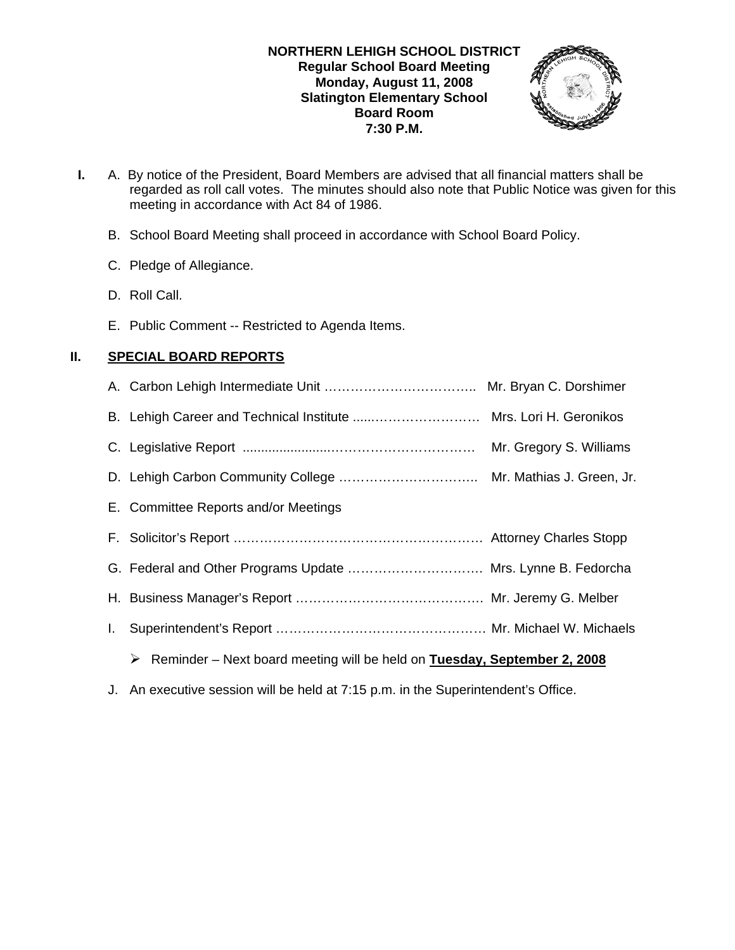#### **NORTHERN LEHIGH SCHOOL DISTRICT Regular School Board Meeting Monday, August 11, 2008 Slatington Elementary School Board Room 7:30 P.M.**



- **I.** A. By notice of the President, Board Members are advised that all financial matters shall be regarded as roll call votes. The minutes should also note that Public Notice was given for this meeting in accordance with Act 84 of 1986.
	- B. School Board Meeting shall proceed in accordance with School Board Policy.
	- C. Pledge of Allegiance.
	- D. Roll Call.
	- E. Public Comment -- Restricted to Agenda Items.

# **II. SPECIAL BOARD REPORTS**

|              | E. Committee Reports and/or Meetings                                    |  |
|--------------|-------------------------------------------------------------------------|--|
|              |                                                                         |  |
|              | G. Federal and Other Programs Update  Mrs. Lynne B. Fedorcha            |  |
|              |                                                                         |  |
| $\mathbf{L}$ |                                                                         |  |
|              | Example 1 Next board meeting will be held on Tuesday, September 2, 2008 |  |
|              |                                                                         |  |

J. An executive session will be held at 7:15 p.m. in the Superintendent's Office.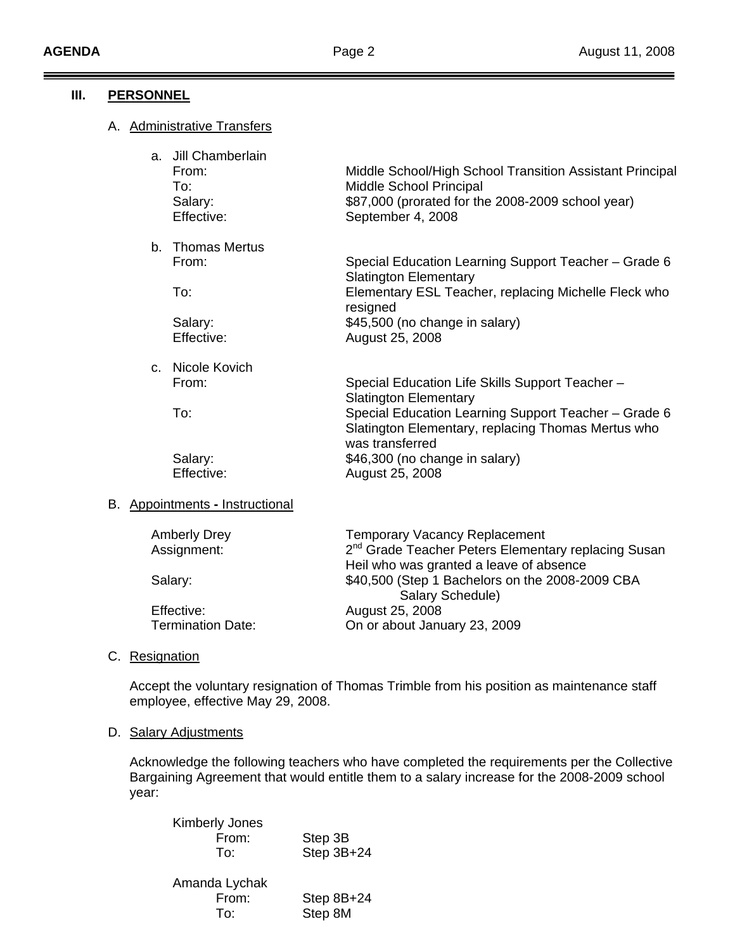### **III. PERSONNEL**

## A. Administrative Transfers

| a. Jill Chamberlain<br>From:<br>To:<br>Salary:<br>Effective: | Middle School/High School Transition Assistant Principal<br>Middle School Principal<br>\$87,000 (prorated for the 2008-2009 school year)<br>September 4, 2008 |
|--------------------------------------------------------------|---------------------------------------------------------------------------------------------------------------------------------------------------------------|
| b. Thomas Mertus                                             |                                                                                                                                                               |
| From:                                                        | Special Education Learning Support Teacher - Grade 6<br><b>Slatington Elementary</b>                                                                          |
| To:                                                          | Elementary ESL Teacher, replacing Michelle Fleck who<br>resigned                                                                                              |
| Salary:                                                      | \$45,500 (no change in salary)                                                                                                                                |
| Effective:                                                   | August 25, 2008                                                                                                                                               |
| c. Nicole Kovich                                             |                                                                                                                                                               |
| From:                                                        | Special Education Life Skills Support Teacher -<br><b>Slatington Elementary</b>                                                                               |
| To:                                                          | Special Education Learning Support Teacher - Grade 6<br>Slatington Elementary, replacing Thomas Mertus who<br>was transferred                                 |
| Salary:                                                      | \$46,300 (no change in salary)                                                                                                                                |
| Effective:                                                   | August 25, 2008                                                                                                                                               |

### B. Appointments **-** Instructional

| <b>Amberly Drey</b>      | <b>Temporary Vacancy Replacement</b>                            |
|--------------------------|-----------------------------------------------------------------|
| Assignment:              | 2 <sup>nd</sup> Grade Teacher Peters Elementary replacing Susan |
|                          | Heil who was granted a leave of absence                         |
| Salary:                  | \$40,500 (Step 1 Bachelors on the 2008-2009 CBA                 |
|                          | Salary Schedule)                                                |
| Effective:               | August 25, 2008                                                 |
| <b>Termination Date:</b> | On or about January 23, 2009                                    |
|                          |                                                                 |

## C. Resignation

Accept the voluntary resignation of Thomas Trimble from his position as maintenance staff employee, effective May 29, 2008.

### D. Salary Adjustments

Acknowledge the following teachers who have completed the requirements per the Collective Bargaining Agreement that would entitle them to a salary increase for the 2008-2009 school year:

| <b>Kimberly Jones</b><br>From:<br>To: | Step 3B<br>Step 3B+24 |
|---------------------------------------|-----------------------|
| Amanda Lychak<br>From:                | Step 8B+24            |
| To:                                   | Step 8M               |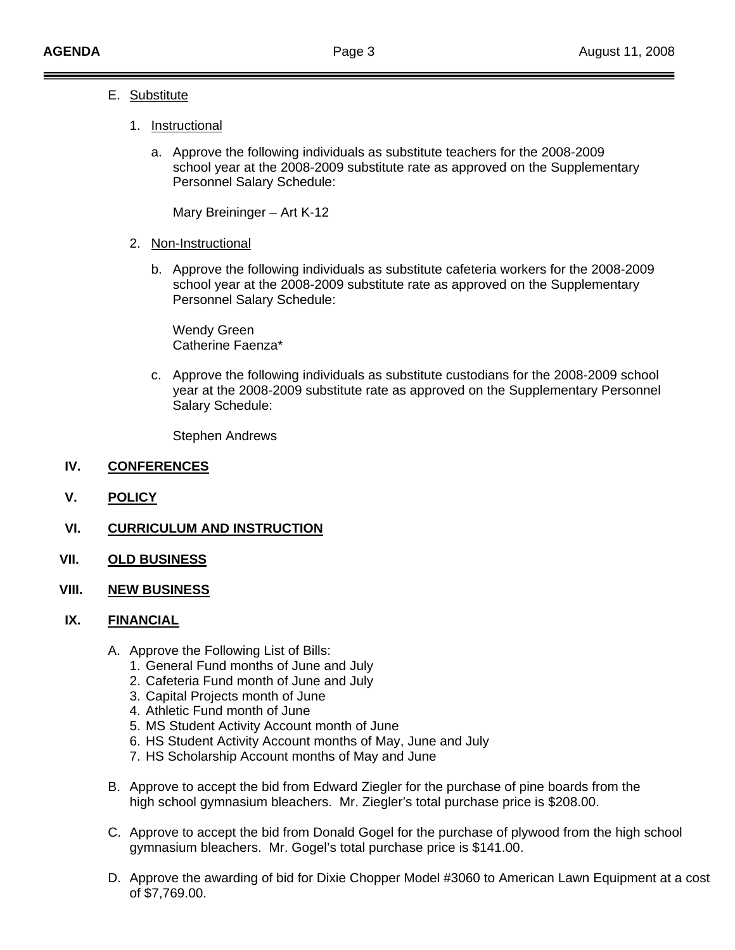## E. Substitute

## 1. Instructional

a. Approve the following individuals as substitute teachers for the 2008-2009 school year at the 2008-2009 substitute rate as approved on the Supplementary Personnel Salary Schedule:

Mary Breininger – Art K-12

- 2. Non-Instructional
	- b. Approve the following individuals as substitute cafeteria workers for the 2008-2009 school year at the 2008-2009 substitute rate as approved on the Supplementary Personnel Salary Schedule:

 Wendy Green Catherine Faenza\*

c. Approve the following individuals as substitute custodians for the 2008-2009 school year at the 2008-2009 substitute rate as approved on the Supplementary Personnel Salary Schedule:

Stephen Andrews

#### **IV. CONFERENCES**

**V. POLICY**

### **VI. CURRICULUM AND INSTRUCTION**

- **VII. OLD BUSINESS**
- **VIII. NEW BUSINESS**

# **IX. FINANCIAL**

- A. Approve the Following List of Bills:
	- 1. General Fund months of June and July
	- 2. Cafeteria Fund month of June and July
	- 3. Capital Projects month of June
	- 4. Athletic Fund month of June
	- 5. MS Student Activity Account month of June
	- 6. HS Student Activity Account months of May, June and July
	- 7. HS Scholarship Account months of May and June
- B. Approve to accept the bid from Edward Ziegler for the purchase of pine boards from the high school gymnasium bleachers. Mr. Ziegler's total purchase price is \$208.00.
- C. Approve to accept the bid from Donald Gogel for the purchase of plywood from the high school gymnasium bleachers. Mr. Gogel's total purchase price is \$141.00.
- D. Approve the awarding of bid for Dixie Chopper Model #3060 to American Lawn Equipment at a cost of \$7,769.00.